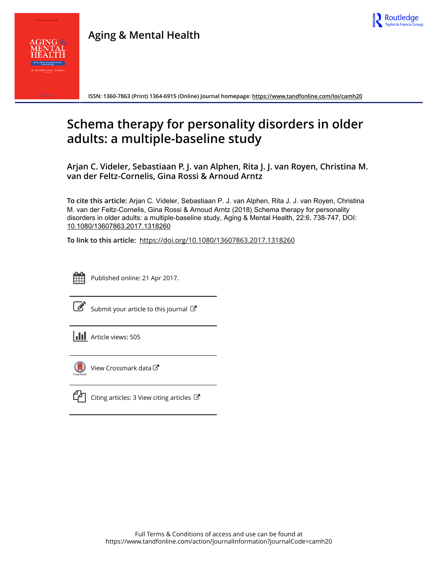



**ISSN: 1360-7863 (Print) 1364-6915 (Online) Journal homepage:<https://www.tandfonline.com/loi/camh20>**

# **Schema therapy for personality disorders in older adults: a multiple-baseline study**

**Arjan C. Videler, Sebastiaan P. J. van Alphen, Rita J. J. van Royen, Christina M. van der Feltz-Cornelis, Gina Rossi & Arnoud Arntz**

**To cite this article:** Arjan C. Videler, Sebastiaan P. J. van Alphen, Rita J. J. van Royen, Christina M. van der Feltz-Cornelis, Gina Rossi & Arnoud Arntz (2018) Schema therapy for personality disorders in older adults: a multiple-baseline study, Aging & Mental Health, 22:6, 738-747, DOI: [10.1080/13607863.2017.1318260](https://www.tandfonline.com/action/showCitFormats?doi=10.1080/13607863.2017.1318260)

**To link to this article:** <https://doi.org/10.1080/13607863.2017.1318260>



Published online: 21 Apr 2017.



 $\overline{\mathscr{L}}$  [Submit your article to this journal](https://www.tandfonline.com/action/authorSubmission?journalCode=camh20&show=instructions)  $\mathbb{Z}$ 

**III** Article views: 505



[View Crossmark data](http://crossmark.crossref.org/dialog/?doi=10.1080/13607863.2017.1318260&domain=pdf&date_stamp=2017-04-21)<sup>で</sup>



 $\mathbb{C}$  [Citing articles: 3 View citing articles](https://www.tandfonline.com/doi/citedby/10.1080/13607863.2017.1318260#tabModule)  $\mathbb{C}$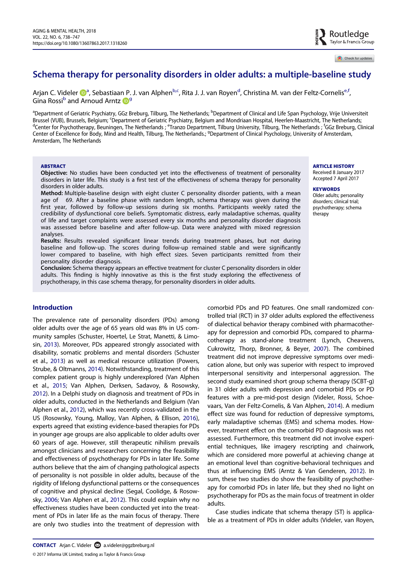# Schema therapy for personality disorders in older adults: a multiple-baseline study

A[r](http://orcid.org/0000-0002-2175-3453)j[a](#page-1-0)n C. Videler ��d, Sebastiaan P. J. van Alphen<sup>b[,c](#page-1-1)</sup>, Rita J. J. van Royen<sup>d</sup>, Christina M. van der Feltz-Cornelis<sup>[e,f](#page-1-2)</sup> , Gina Rossi<sup>[b](#page-1-0)</sup> and Arnoud Arntz D<sup>9</sup>

<span id="page-1-3"></span><span id="page-1-2"></span><span id="page-1-1"></span><span id="page-1-0"></span><sup>a</sup>Department of Geriatric Psychiatry, GGz Breburg, Tilburg, The Netherlands; <sup>b</sup>Department of Clinical and Life Span Psychology, Vrije Universiteit Brussel (VUB), Brussels, Belgium; 'Department of Geriatric Psychiatry, Belgium and Mondriaan Hospital, Heerlen-Maastricht, The Netherlands;  $\frac{1}{2}$ Center for Psychotherapy, Beuningen, The Netherlands ; <sup>e</sup>Tranzo Department, Tilburg University, Tilburg, The Netherlands ; <sup>f</sup>GGz Breburg, Clinical Center of Excellence for Body, Mind and Health, Tilburg, The Netherlands.; <sup>g</sup>Department of Clinical Psychology, University of Amsterdam, Amsterdam, The Netherlands

#### ABSTRACT

Objective: No studies have been conducted yet into the effectiveness of treatment of personality disorders in later life. This study is a first test of the effectiveness of schema therapy for personality disorders in older adults.

Method: Multiple-baseline design with eight cluster C personality disorder patients, with a mean age of 69. After a baseline phase with random length, schema therapy was given during the first year, followed by follow-up sessions during six months. Participants weekly rated the credibility of dysfunctional core beliefs. Symptomatic distress, early maladaptive schemas, quality of life and target complaints were assessed every six months and personality disorder diagnosis was assessed before baseline and after follow-up. Data were analyzed with mixed regression analyses.

Results: Results revealed significant linear trends during treatment phases, but not during baseline and follow-up. The scores during follow-up remained stable and were significantly lower compared to baseline, with high effect sizes. Seven participants remitted from their personality disorder diagnosis.

Conclusion: Schema therapy appears an effective treatment for cluster C personality disorders in older adults. This finding is highly innovative as this is the first study exploring the effectiveness of psychotherapy, in this case schema therapy, for personality disorders in older adults.

# Introduction

<span id="page-1-12"></span><span id="page-1-11"></span><span id="page-1-10"></span><span id="page-1-9"></span><span id="page-1-8"></span><span id="page-1-7"></span><span id="page-1-6"></span><span id="page-1-5"></span><span id="page-1-4"></span>The prevalence rate of personality disorders (PDs) among older adults over the age of 65 years old was 8% in US community samples (Schuster, Hoertel, Le Strat, Manetti, & Limosin, [2013\)](#page-10-0). Moreover, PDs appeared strongly associated with disability, somatic problems and mental disorders (Schuster et al., [2013\)](#page-10-0) as well as medical resource utilization (Powers, Strube, & Oltmanns, [2014](#page-9-0)). Notwithstanding, treatment of this complex patient group is highly underexplored (Van Alphen et al., [2015](#page-10-1); Van Alphen, Derksen, Sadavoy, & Rosowsky, [2012](#page-10-2)). In a Delphi study on diagnosis and treatment of PDs in older adults, conducted in the Netherlands and Belgium (Van Alphen et al., [2012](#page-10-3)), which was recently cross-validated in the US (Rosowsky, Young, Malloy, Van Alphen, & Ellison, [2016](#page-9-1)), experts agreed that existing evidence-based therapies for PDs in younger age groups are also applicable to older adults over 60 years of age. However, still therapeutic nihilism prevails amongst clinicians and researchers concerning the feasibility and effectiveness of psychotherapy for PDs in later life. Some authors believe that the aim of changing pathological aspects of personality is not possible in older adults, because of the rigidity of lifelong dysfunctional patterns or the consequences of cognitive and physical decline (Segal, Coolidge, & Rosowsky, [2006](#page-10-4); Van Alphen et al., [2012\)](#page-10-2). This could explain why no effectiveness studies have been conducted yet into the treatment of PDs in later life as the main focus of therapy. There are only two studies into the treatment of depression with

comorbid PDs and PD features. One small randomized controlled trial (RCT) in 37 older adults explored the effectiveness of dialectical behavior therapy combined with pharmacotherapy for depression and comorbid PDs, compared to pharmacotherapy as stand-alone treatment (Lynch, Cheavens, Cukrowitz, Thorp, Bronner, & Beyer, [2007](#page-9-2)). The combined treatment did not improve depressive symptoms over medication alone, but only was superior with respect to improved interpersonal sensitivity and interpersonal aggression. The second study examined short group schema therapy (SCBT-g) in 31 older adults with depression and comorbid PDs or PD features with a pre-mid-post design (Videler, Rossi, Schoevaars, Van der Feltz-Cornelis, & Van Alphen, [2014\)](#page-10-5). A medium effect size was found for reduction of depressive symptoms, early maladaptive schemas (EMS) and schema modes. However, treatment effect on the comorbid PD diagnosis was not assessed. Furthermore, this treatment did not involve experiential techniques, like imagery rescripting and chairwork, which are considered more powerful at achieving change at an emotional level than cognitive-behavioral techniques and thus at influencing EMS (Arntz & Van Genderen, [2012\)](#page-9-3). In sum, these two studies do show the feasibility of psychotherapy for comorbid PDs in later life, but they shed no light on psychotherapy for PDs as the main focus of treatment in older adults.

Case studies indicate that schema therapy (ST) is applicable as a treatment of PDs in older adults (Videler, van Royen,

ARTICLE HISTORY

Received 8 January 2017 Accepted 7 April 2017

#### **KEYWORDS**

Older adults; personality disorders; clinical trial; psychotherapy; schema therapy

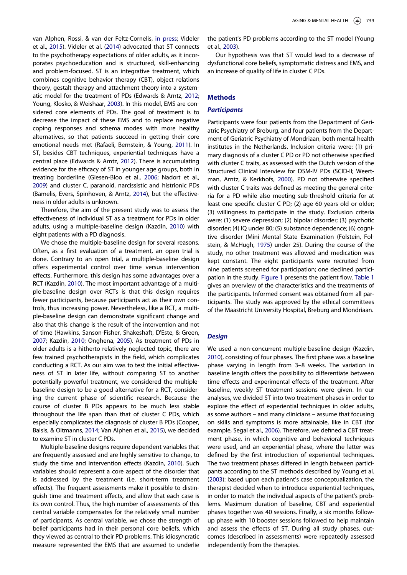<span id="page-2-10"></span><span id="page-2-9"></span>van Alphen, Rossi, & van der Feltz-Cornelis, [in press;](#page-10-6) Videler et al., [2015\)](#page-10-7). Videler et al. [\(2014](#page-10-5)) advocated that ST connects to the psychotherapy expectations of older adults, as it incorporates psychoeducation and is structured, skill-enhancing and problem-focused. ST is an integrative treatment, which combines cognitive behavior therapy (CBT), object relations theory, gestalt therapy and attachment theory into a systematic model for the treatment of PDs (Edwards & Arntz, [2012;](#page-9-4) Young, Klosko, & Weishaar, [2003](#page-10-8)). In this model, EMS are considered core elements of PDs. The goal of treatment is to decrease the impact of these EMS and to replace negative coping responses and schema modes with more healthy alternatives, so that patients succeed in getting their core emotional needs met (Rafaeli, Bernstein, & Young, [2011\)](#page-9-5). In ST, besides CBT techniques, experiential techniques have a central place (Edwards & Arntz, [2012\)](#page-9-4). There is accumulating evidence for the efficacy of ST in younger age groups, both in treating borderline (Giesen-Bloo et al., [2006](#page-9-6); Nadort et al., [2009](#page-9-7)) and cluster C, paranoid, narcissistic and histrionic PDs (Bamelis, Evers, Spinhoven, & Arntz, [2014](#page-9-8)), but the effectiveness in older adults is unknown.

<span id="page-2-11"></span><span id="page-2-8"></span><span id="page-2-4"></span><span id="page-2-2"></span><span id="page-2-0"></span>Therefore, the aim of the present study was to assess the effectiveness of individual ST as a treatment for PDs in older adults, using a multiple-baseline design (Kazdin, [2010\)](#page-9-9) with eight patients with a PD diagnosis.

<span id="page-2-7"></span><span id="page-2-5"></span><span id="page-2-3"></span>We chose the multiple-baseline design for several reasons. Often, as a first evaluation of a treatment, an open trial is done. Contrary to an open trial, a multiple-baseline design offers experimental control over time versus intervention effects. Furthermore, this design has some advantages over a RCT (Kazdin, [2010](#page-9-9)). The most important advantage of a multiple-baseline design over RCTs is that this design requires fewer participants, because participants act as their own controls, thus increasing power. Nevertheless, like a RCT, a multiple-baseline design can demonstrate significant change and also that this change is the result of the intervention and not of time (Hawkins, Sanson-Fisher, Shakeshaft, D'Este, & Green, [2007](#page-9-10); Kazdin, [2010;](#page-9-9) Onghena, [2005](#page-9-11)). As treatment of PDs in older adults is a hitherto relatively neglected topic, there are few trained psychotherapists in the field, which complicates conducting a RCT. As our aim was to test the initial effectiveness of ST in later life, without comparing ST to another potentially powerful treatment, we considered the multiplebaseline design to be a good alternative for a RCT, considering the current phase of scientific research. Because the course of cluster B PDs appears to be much less stable throughout the life span than that of cluster C PDs, which especially complicates the diagnosis of cluster B PDs (Cooper, Balsis, & Oltmanns, [2014;](#page-9-12) Van Alphen et al., [2015\)](#page-10-1), we decided to examine ST in cluster C PDs.

<span id="page-2-12"></span><span id="page-2-6"></span><span id="page-2-1"></span>Multiple-baseline designs require dependent variables that are frequently assessed and are highly sensitive to change, to study the time and intervention effects (Kazdin, [2010](#page-9-9)). Such variables should represent a core aspect of the disorder that is addressed by the treatment (i.e. short-term treatment effects). The frequent assessments make it possible to distinguish time and treatment effects, and allow that each case is its own control. Thus, the high number of assessments of this central variable compensates for the relatively small number of participants. As central variable, we chose the strength of belief participants had in their personal core beliefs, which they viewed as central to their PD problems. This idiosyncratic measure represented the EMS that are assumed to underlie

the patient's PD problems according to the ST model (Young et al., [2003\)](#page-10-8).

Our hypothesis was that ST would lead to a decrease of dysfunctional core beliefs, symptomatic distress and EMS, and an increase of quality of life in cluster C PDs.

# **Methods**

## **Participants**

Participants were four patients from the Department of Geriatric Psychiatry of Breburg, and four patients from the Department of Geriatric Psychiatry of Mondriaan, both mental health institutes in the Netherlands. Inclusion criteria were: (1) primary diagnosis of a cluster C PD or PD not otherwise specified with cluster C traits, as assessed with the Dutch version of the Structured Clinical Interview for DSM-IV PDs (SCID-II; Weertman, Arntz, & Kerkhofs, [2000\)](#page-10-9). PD not otherwise specified with cluster C traits was defined as meeting the general criteria for a PD while also meeting sub-threshold criteria for at least one specific cluster C PD; (2) age 60 years old or older; (3) willingness to participate in the study. Exclusion criteria were: (1) severe depression; (2) bipolar disorder; (3) psychotic disorder; (4) IQ under 80; (5) substance dependence; (6) cognitive disorder (Mini Mental State Examination (Folstein, Folstein, & McHugh, [1975](#page-9-13)) under 25). During the course of the study, no other treatment was allowed and medication was kept constant. The eight participants were recruited from nine patients screened for participation; one declined participation in the study. [Figure 1](#page-3-0) presents the patient flow. [Table 1](#page-3-1) gives an overview of the characteristics and the treatments of the participants. Informed consent was obtained from all participants. The study was approved by the ethical committees of the Maastricht University Hospital, Breburg and Mondriaan.

#### **Design**

We used a non-concurrent multiple-baseline design (Kazdin, [2010\)](#page-9-9), consisting of four phases. The first phase was a baseline phase varying in length from 3–8 weeks. The variation in baseline length offers the possibility to differentiate between time effects and experimental effects of the treatment. After baseline, weekly ST treatment sessions were given. In our analyses, we divided ST into two treatment phases in order to explore the effect of experiential techniques in older adults, as some authors – and many clinicians – assume that focusing on skills and symptoms is more attainable, like in CBT (for example, Segal et al., [2006\)](#page-10-4). Therefore, we defined a CBT treatment phase, in which cognitive and behavioral techniques were used, and an experiential phase, where the latter was defined by the first introduction of experiential techniques. The two treatment phases differed in length between participants according to the ST methods described by Young et al. [\(2003\)](#page-10-8): based upon each patient's case conceptualization, the therapist decided when to introduce experiential techniques, in order to match the individual aspects of the patient's problems. Maximum duration of baseline, CBT and experiential phases together was 40 sessions. Finally, a six months followup phase with 10 booster sessions followed to help maintain and assess the effects of ST. During all study phases, outcomes (described in assessments) were repeatedly assessed independently from the therapies.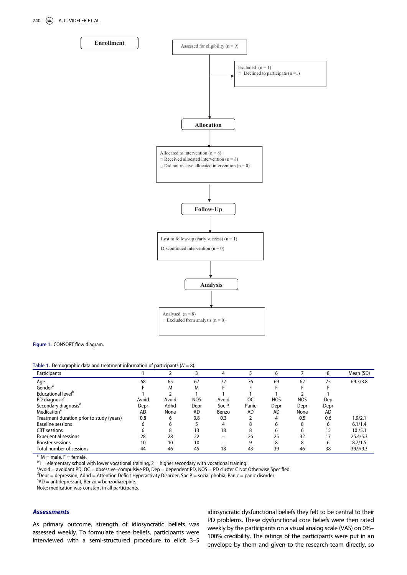<span id="page-3-0"></span>

Figure 1. CONSORT flow diagram.

Table 1. Demographic data and treatment information of participants ( $N = 8$ ).

| Participants                              |           |       |            |       |               | h          |            |           | Mean (SD) |
|-------------------------------------------|-----------|-------|------------|-------|---------------|------------|------------|-----------|-----------|
| Age                                       | 68        | 65    | 67         | 72    | 76            | 69         | 62         | 75        | 69.3/3.8  |
| Gender <sup>a</sup>                       |           | М     | М          |       |               |            |            |           |           |
| Educational level <sup>b</sup>            |           |       |            |       |               |            |            |           |           |
| PD diagnosis <sup>c</sup>                 | Avoid     | Avoid | <b>NOS</b> | Avoid | <sub>OC</sub> | <b>NOS</b> | <b>NOS</b> | Dep       |           |
| Secondary diagnosis <sup>d</sup>          | Depr      | Adhd  | Depr       | Soc P | Panic         | Depr       | Depr       | Depr      |           |
| Medication <sup>e</sup>                   | <b>AD</b> | None  | <b>AD</b>  | Benzo | <b>AD</b>     | <b>AD</b>  | None       | <b>AD</b> |           |
| Treatment duration prior to study (years) | 0.8       | 6     | 0.8        | 0.3   |               | 4          | 0.5        | 0.6       | 1.9/2.1   |
| <b>Baseline sessions</b>                  | 6         | 6     |            | 4     |               | 6          | 8          | 6         | 6.1/1.4   |
| <b>CBT</b> sessions                       |           | 8     | 13         | 18    |               | h          | h          | 15        | 10/5.1    |
| <b>Experiential sessions</b>              | 28        | 28    | 22         |       | 26            | 25         | 32         | 17        | 25.4/5.3  |
| Booster sessions                          | 10        | 10    | 10         |       |               | 8          | 8          | 6         | 8.7/1.5   |
| Total number of sessions                  | 44        | 46    | 45         | 18    | 43            | 39         | 46         | 38        | 39.9/9.3  |

 $^{\circ}$  M = male, F = female.

 $1 = 1$  = elementary school with lower vocational training, 2 = higher secondary with vocational training.

 $c^2$ Avoid = avoidant PD, OC = obsessive–compulsive PD, Dep = dependent PD, NOS = PD cluster C Not Otherwise Specified.<br><sup>d</sup>Depr = depression, Adbd = Attention Deficit Hyperactivity Disorder, Soc R = social phobia. Papic =

d<br>Depr = depression, Adhd = Attention Deficit Hyperactivity Disorder, Soc P = social phobia, Panic = panic disorder.

 $e^e$ AD = antidepressant, Benzo = benzodiazepine.

<span id="page-3-1"></span>Note: medication was constant in all participants.

# Assessments

As primary outcome, strength of idiosyncratic beliefs was assessed weekly. To formulate these beliefs, participants were interviewed with a semi-structured procedure to elicit 3–5

idiosyncratic dysfunctional beliefs they felt to be central to their PD problems. These dysfunctional core beliefs were then rated weekly by the participants on a visual analog scale (VAS) on 0%– 100% credibility. The ratings of the participants were put in an envelope by them and given to the research team directly, so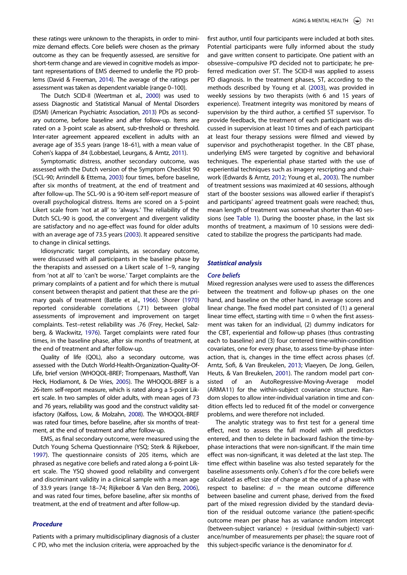these ratings were unknown to the therapists, in order to minimize demand effects. Core beliefs were chosen as the primary outcome as they can be frequently assessed, are sensitive for short-term change and are viewed in cognitive models as important representations of EMS deemed to underlie the PD problems (David & Freeman, [2014\)](#page-9-14). The average of the ratings per assessment was taken as dependent variable (range 0–100).

<span id="page-4-4"></span><span id="page-4-0"></span>The Dutch SCID-II (Weertman et al., [2000](#page-10-9)) was used to assess Diagnostic and Statistical Manual of Mental Disorders (DSM) (American Psychiatric Association, [2013\)](#page-9-15) PDs as secondary outcome, before baseline and after follow-up. Items are rated on a 3-point scale as absent, sub-threshold or threshold. Inter-rater agreement appeared excellent in adults with an average age of 35.5 years (range 18–61), with a mean value of Cohen's kappa of .84 (Lobbestael, Leurgans, & Arntz, [2011](#page-9-16)).

<span id="page-4-7"></span>Symptomatic distress, another secondary outcome, was assessed with the Dutch version of the Symptom Checklist 90 (SCL-90; Arrindell & Ettema, [2003](#page-9-17)) four times, before baseline, after six months of treatment, at the end of treatment and after follow-up. The SCL-90 is a 90-item self-report measure of overall psychological distress. Items are scored on a 5-point Likert scale from 'not at all' to 'always.' The reliability of the Dutch SCL-90 is good, the convergent and divergent validity are satisfactory and no age-effect was found for older adults with an average age of 73.5 years [\(2003](#page-9-17)). It appeared sensitive to change in clinical settings.

<span id="page-4-3"></span><span id="page-4-2"></span>Idiosyncratic target complaints, as secondary outcome, were discussed with all participants in the baseline phase by the therapists and assessed on a Likert scale of 1–9, ranging from 'not at all' to 'can't be worse.' Target complaints are the primary complaints of a patient and for which there is mutual consent between therapist and patient that these are the primary goals of treatment (Battle et al., [1966](#page-9-18)). Shorer ([1970\)](#page-10-10) reported considerable correlations (.71) between global assessments of improvement and improvement on target complaints. Test–retest reliability was .76 (Frey, Heckel, Salzberg, & Wackwitz, [1976](#page-9-19)). Target complaints were rated four times, in the baseline phase, after six months of treatment, at the end of treatment and after follow-up.

<span id="page-4-11"></span><span id="page-4-10"></span><span id="page-4-5"></span><span id="page-4-1"></span>Quality of life (QOL), also a secondary outcome, was assessed with the Dutch World-Health-Organization-Quality-Of-Life, brief version (WHOQOL-BREF; Trompenaars, Masthoff, Van Heck, Hodiamont, & De Vries, [2005](#page-10-11)). The WHOQOL-BREF is a 26-item self-report measure, which is rated along a 5-point Likert scale. In two samples of older adults, with mean ages of 73 and 76 years, reliability was good and the construct validity satisfactory (Kalfoss, Low, & Molzahn, [2008\)](#page-9-20). The WHOQOL-BREF was rated four times, before baseline, after six months of treatment, at the end of treatment and after follow-up.

<span id="page-4-9"></span><span id="page-4-6"></span>EMS, as final secondary outcome, were measured using the Dutch Young Schema Questionnaire (YSQ; Sterk & Rijkeboer, [1997](#page-10-12)). The questionnaire consists of 205 items, which are phrased as negative core beliefs and rated along a 6-point Likert scale. The YSQ showed good reliability and convergent and discriminant validity in a clinical sample with a mean age of 33.9 years (range 18–74; Rijkeboer & Van den Berg, [2006](#page-9-21)), and was rated four times, before baseline, after six months of treatment, at the end of treatment and after follow-up.

#### <span id="page-4-8"></span>Procedure

Patients with a primary multidisciplinary diagnosis of a cluster C PD, who met the inclusion criteria, were approached by the first author, until four participants were included at both sites. Potential participants were fully informed about the study and gave written consent to participate. One patient with an obsessive–compulsive PD decided not to participate; he preferred medication over ST. The SCID-II was applied to assess PD diagnosis. In the treatment phases, ST, according to the methods described by Young et al. [\(2003\)](#page-10-8), was provided in weekly sessions by two therapists (with 6 and 15 years of experience). Treatment integrity was monitored by means of supervision by the third author, a certified ST supervisor. To provide feedback, the treatment of each participant was discussed in supervision at least 10 times and of each participant at least four therapy sessions were filmed and viewed by supervisor and psychotherapist together. In the CBT phase, underlying EMS were targeted by cognitive and behavioral techniques. The experiential phase started with the use of experiential techniques such as imagery rescripting and chairwork (Edwards & Arntz, [2012](#page-9-4); Young et al., [2003](#page-10-8)). The number of treatment sessions was maximized at 40 sessions, although start of the booster sessions was allowed earlier if therapist's and participants' agreed treatment goals were reached; thus, mean length of treatment was somewhat shorter than 40 sessions (see [Table 1\)](#page-3-1). During the booster phase, in the last six months of treatment, a maximum of 10 sessions were dedicated to stabilize the progress the participants had made.

#### Statistical analysis

#### Core beliefs

Mixed regression analyses were used to assess the differences between the treatment and follow-up phases on the one hand, and baseline on the other hand, in average scores and linear change. The fixed model part consisted of (1) a general linear time effect, starting with time  $= 0$  when the first assessment was taken for an individual, (2) dummy indicators for the CBT, experiential and follow-up phases (thus contrasting each to baseline) and (3) four centered time-within-condition covariates, one for every phase, to assess time-by-phase interaction, that is, changes in the time effect across phases (cf. Arntz, Sofi, & Van Breukelen, [2013;](#page-9-22) Vlaeyen, De Jong, Geilen, Heuts, & Van Breukelen, [2001](#page-10-13)). The random model part consisted of an AutoRegressive-Moving-Average model (ARMA11) for the within-subject covariance structure. Random slopes to allow inter-individual variation in time and condition effects led to reduced fit of the model or convergence problems, and were therefore not included.

The analytic strategy was to first test for a general time effect, next to assess the full model with all predictors entered, and then to delete in backward fashion the time-byphase interactions that were non-significant. If the main time effect was non-significant, it was deleted at the last step. The time effect within baseline was also tested separately for the baseline assessments only. Cohen's d for the core beliefs were calculated as effect size of change at the end of a phase with respect to baseline:  $d =$  the mean outcome difference between baseline and current phase, derived from the fixed part of the mixed regression divided by the standard deviation of the residual outcome variance (the patient-specific outcome mean per phase has as variance random intercept (between-subject variance) + (residual (within-subject) variance/number of measurements per phase); the square root of this subject-specific variance is the denominator for d.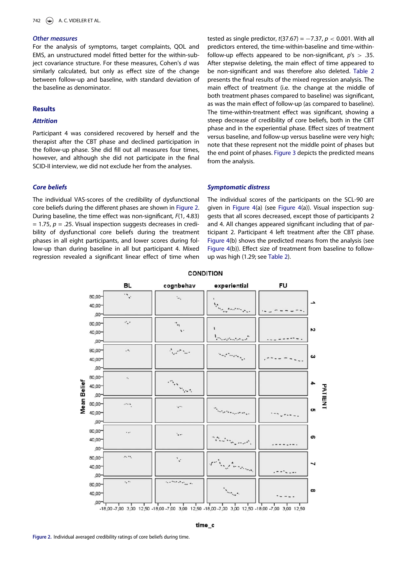#### Other measures

For the analysis of symptoms, target complaints, QOL and EMS, an unstructured model fitted better for the within-subject covariance structure. For these measures, Cohen's d was similarly calculated, but only as effect size of the change between follow-up and baseline, with standard deviation of the baseline as denominator.

# Results

# **Attrition**

Participant 4 was considered recovered by herself and the therapist after the CBT phase and declined participation in the follow-up phase. She did fill out all measures four times, however, and although she did not participate in the final SCID-II interview, we did not exclude her from the analyses.

#### Core beliefs

The individual VAS-scores of the credibility of dysfunctional core beliefs during the different phases are shown in [Figure 2.](#page-5-0) During baseline, the time effect was non-significant, F(1, 4.83)  $= 1.75$ ,  $p = .25$ . Visual inspection suggests decreases in credibility of dysfunctional core beliefs during the treatment phases in all eight participants, and lower scores during follow-up than during baseline in all but participant 4. Mixed regression revealed a significant linear effect of time when

tested as single predictor,  $t(37.67) = -7.37$ ,  $p < 0.001$ . With all predictors entered, the time-within-baseline and time-withinfollow-up effects appeared to be non-significant,  $p's > .35$ . After stepwise deleting, the main effect of time appeared to be non-significant and was therefore also deleted. [Table 2](#page-6-0) presents the final results of the mixed regression analysis. The main effect of treatment (i.e. the change at the middle of both treatment phases compared to baseline) was significant, as was the main effect of follow-up (as compared to baseline). The time-within-treatment effect was significant, showing a steep decrease of credibility of core beliefs, both in the CBT phase and in the experiential phase. Effect sizes of treatment versus baseline, and follow-up versus baseline were very high; note that these represent not the middle point of phases but the end point of phases. [Figure 3](#page-6-1) depicts the predicted means from the analysis.

#### Symptomatic distress

The individual scores of the participants on the SCL-90 are given in [Figure 4\(](#page-7-0)a) (see [Figure 4\(](#page-7-0)a)). Visual inspection suggests that all scores decreased, except those of participants 2 and 4. All changes appeared significant including that of participant 2. Participant 4 left treatment after the CBT phase. [Figure 4\(](#page-7-0)b) shows the predicted means from the analysis (see [Figure 4](#page-7-0)(b)). Effect size of treatment from baseline to followup was high (1.29; see [Table 2](#page-6-0)).

<span id="page-5-0"></span>

**CONDITION**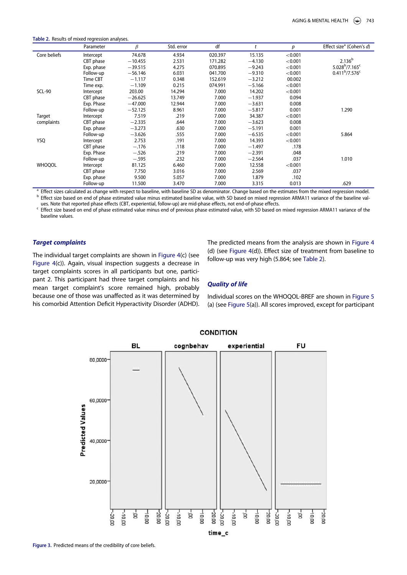Table 2. Results of mixed regression analyses.

|               | Parameter  | β         | Std. error | df      |          | р       | Effect size <sup>a</sup> (Cohen's d) |
|---------------|------------|-----------|------------|---------|----------|---------|--------------------------------------|
| Core beliefs  | Intercept  | 74.678    | 4.934      | 020.397 | 15.135   | < 0.001 |                                      |
|               | CBT phase  | $-10.455$ | 2.531      | 171.282 | $-4.130$ | < 0.001 | $2.136^{b}$                          |
|               | Exp. phase | $-39.515$ | 4.275      | 070.895 | $-9.243$ | < 0.001 | $5.028^{\rm b}/7.165^{\rm c}$        |
|               | Follow-up  | $-56.146$ | 6.031      | 041.700 | $-9.310$ | < 0.001 | $0.411^{\rm b}/7.576^{\rm c}$        |
|               | Time CBT   | $-1.117$  | 0.348      | 152.619 | $-3.212$ | 00.002  |                                      |
|               | Time exp.  | $-1.109$  | 0.215      | 074.991 | $-5.166$ | < 0.001 |                                      |
| <b>SCL-90</b> | Intercept  | 203.00    | 14.294     | 7.000   | 14.202   | < 0.001 |                                      |
|               | CBT phase  | $-26.625$ | 13.749     | 7.000   | $-1.937$ | 0.094   |                                      |
|               | Exp. Phase | $-47,000$ | 12.944     | 7.000   | $-3.631$ | 0.008   |                                      |
|               | Follow-up  | $-52.125$ | 8.961      | 7.000   | $-5.817$ | 0.001   | 1.290                                |
| Target        | Intercept  | 7.519     | .219       | 7.000   | 34.387   | < 0.001 |                                      |
| complaints    | CBT phase  | $-2.335$  | .644       | 7.000   | $-3.623$ | 0.008   |                                      |
|               | Exp. phase | $-3.273$  | .630       | 7.000   | $-5.191$ | 0.001   |                                      |
|               | Follow-up  | $-3.626$  | .555       | 7.000   | $-6.535$ | < 0.001 | 5.864                                |
| <b>YSQ</b>    | Intercept  | 2.753     | .191       | 7.000   | 14.393   | < 0.001 |                                      |
|               | CBT phase  | $-.176$   | .118       | 7.000   | $-1.497$ | .178    |                                      |
|               | Exp. Phase | $-.526$   | .219       | 7.000   | $-2.391$ | .048    |                                      |
|               | Follow-up  | $-.595$   | .232       | 7.000   | $-2.564$ | .037    | 1.010                                |
| <b>WHOQOL</b> | Intercept  | 81.125    | 6.460      | 7.000   | 12.558   | < 0.001 |                                      |
|               | CBT phase  | 7.750     | 3.016      | 7.000   | 2.569    | .037    |                                      |
|               | Exp. phase | 9.500     | 5.057      | 7.000   | 1.879    | .102    |                                      |
|               | Follow-up  | 11.500    | 3.470      | 7.000   | 3.315    | 0.013   | .629                                 |

<sup>a</sup> Effect sizes calculated as change with respect to baseline, with baseline SD as denominator. Change based on the estimates from the mixed regression model.<br><sup>b</sup> Effect size based on end of phase estimated value minus es

<span id="page-6-0"></span>Effect size based on end of phase estimated value minus end of previous phase estimated value, with SD based on mixed regression ARMA11 variance of the baseline values.

# Target complaints

The individual target complaints are shown in [Figure 4\(](#page-7-0)c) (see [Figure 4](#page-7-0)(c)). Again, visual inspection suggests a decrease in target complaints scores in all participants but one, participant 2. This participant had three target complaints and his mean target complaint's score remained high, probably because one of those was unaffected as it was determined by his comorbid Attention Deficit Hyperactivity Disorder (ADHD). The predicted means from the analysis are shown in [Figure 4](#page-7-0) (d) (see [Figure 4](#page-7-0)(d)). Effect size of treatment from baseline to follow-up was very high (5.864; see [Table 2\)](#page-6-0).

# Quality of life

Individual scores on the WHOQOL-BREF are shown in [Figure 5](#page-8-0) (a) (see [Figure 5](#page-8-0)(a)). All scores improved, except for participant

<span id="page-6-1"></span>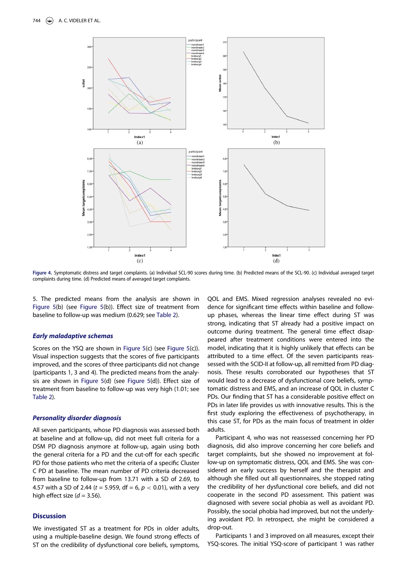<span id="page-7-0"></span>

Figure 4. Symptomatic distress and target complaints. (a) Individual SCL-90 scores during time. (b) Predicted means of the SCL-90. (c) Individual averaged target complaints during time. (d) Predicted means of averaged target complaints.

5. The predicted means from the analysis are shown in [Figure 5\(](#page-8-0)b) (see [Figure 5](#page-8-0)(b)). Effect size of treatment from baseline to follow-up was medium (0.629; see [Table 2\)](#page-6-0).

#### Early maladaptive schemas

Scores on the YSO are shown in [Figure 5](#page-8-0)(c) (see [Figure 5\(](#page-8-0)c)). Visual inspection suggests that the scores of five participants improved, and the scores of three participants did not change (participants 1, 3 and 4). The predicted means from the analysis are shown in [Figure 5](#page-8-0)(d) (see [Figure 5](#page-8-0)(d)). Effect size of treatment from baseline to follow-up was very high (1.01; see [Table 2](#page-6-0)).

#### Personality disorder diagnosis

All seven participants, whose PD diagnosis was assessed both at baseline and at follow-up, did not meet full criteria for a DSM PD diagnosis anymore at follow-up, again using both the general criteria for a PD and the cut-off for each specific PD for those patients who met the criteria of a specific Cluster C PD at baseline. The mean number of PD criteria decreased from baseline to follow-up from 13.71 with a SD of 2.69, to 4.57 with a SD of 2.44 ( $t = 5.959$ , df = 6,  $p < 0.01$ ), with a very high effect size  $(d = 3.56)$ .

# **Discussion**

We investigated ST as a treatment for PDs in older adults, using a multiple-baseline design. We found strong effects of ST on the credibility of dysfunctional core beliefs, symptoms,

QOL and EMS. Mixed regression analyses revealed no evidence for significant time effects within baseline and followup phases, whereas the linear time effect during ST was strong, indicating that ST already had a positive impact on outcome during treatment. The general time effect disappeared after treatment conditions were entered into the model, indicating that it is highly unlikely that effects can be attributed to a time effect. Of the seven participants reassessed with the SCID-II at follow-up, all remitted from PD diagnosis. These results corroborated our hypotheses that ST would lead to a decrease of dysfunctional core beliefs, symptomatic distress and EMS, and an increase of QOL in cluster C PDs. Our finding that ST has a considerable positive effect on PDs in later life provides us with innovative results. This is the first study exploring the effectiveness of psychotherapy, in this case ST, for PDs as the main focus of treatment in older adults.

Participant 4, who was not reassessed concerning her PD diagnosis, did also improve concerning her core beliefs and target complaints, but she showed no improvement at follow-up on symptomatic distress, QOL and EMS. She was considered an early success by herself and the therapist and although she filled out all questionnaires, she stopped rating the credibility of her dysfunctional core beliefs, and did not cooperate in the second PD assessment. This patient was diagnosed with severe social phobia as well as avoidant PD. Possibly, the social phobia had improved, but not the underlying avoidant PD. In retrospect, she might be considered a drop-out.

Participants 1 and 3 improved on all measures, except their YSQ-scores. The initial YSQ-score of participant 1 was rather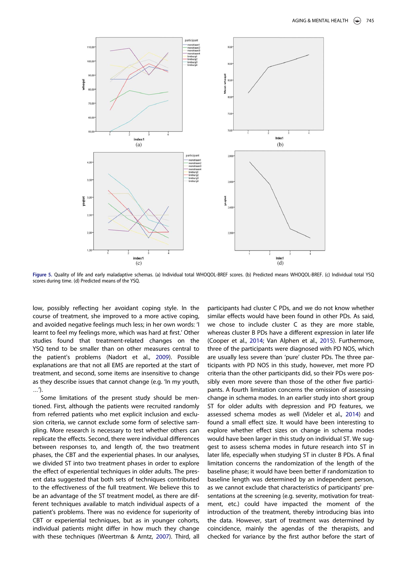<span id="page-8-0"></span>

Figure 5. Quality of life and early maladaptive schemas. (a) Individual total WHOQOL-BREF scores. (b) Predicted means WHOQOL-BREF. (c) Individual total YSQ scores during time. (d) Predicted means of the YSQ.

low, possibly reflecting her avoidant coping style. In the course of treatment, she improved to a more active coping, and avoided negative feelings much less; in her own words: 'I learnt to feel my feelings more, which was hard at first.' Other studies found that treatment-related changes on the YSQ tend to be smaller than on other measures central to the patient's problems (Nadort et al., [2009](#page-9-7)). Possible explanations are that not all EMS are reported at the start of treatment, and second, some items are insensitive to change as they describe issues that cannot change (e.g. 'In my youth, …').

<span id="page-8-1"></span>Some limitations of the present study should be mentioned. First, although the patients were recruited randomly from referred patients who met explicit inclusion and exclusion criteria, we cannot exclude some form of selective sampling. More research is necessary to test whether others can replicate the effects. Second, there were individual differences between responses to, and length of, the two treatment phases, the CBT and the experiential phases. In our analyses, we divided ST into two treatment phases in order to explore the effect of experiential techniques in older adults. The present data suggested that both sets of techniques contributed to the effectiveness of the full treatment. We believe this to be an advantage of the ST treatment model, as there are different techniques available to match individual aspects of a patient's problems. There was no evidence for superiority of CBT or experiential techniques, but as in younger cohorts, individual patients might differ in how much they change with these techniques (Weertman & Arntz, [2007](#page-10-14)). Third, all

participants had cluster C PDs, and we do not know whether similar effects would have been found in other PDs. As said, we chose to include cluster C as they are more stable, whereas cluster B PDs have a different expression in later life (Cooper et al., [2014;](#page-9-12) Van Alphen et al., [2015](#page-10-1)). Furthermore, three of the participants were diagnosed with PD NOS, which are usually less severe than 'pure' cluster PDs. The three participants with PD NOS in this study, however, met more PD criteria than the other participants did, so their PDs were possibly even more severe than those of the other five participants. A fourth limitation concerns the omission of assessing change in schema modes. In an earlier study into short group ST for older adults with depression and PD features, we assessed schema modes as well (Videler et al., [2014\)](#page-10-5) and found a small effect size. It would have been interesting to explore whether effect sizes on change in schema modes would have been larger in this study on individual ST. We suggest to assess schema modes in future research into ST in later life, especially when studying ST in cluster B PDs. A final limitation concerns the randomization of the length of the baseline phase; it would have been better if randomization to baseline length was determined by an independent person, as we cannot exclude that characteristics of participants' presentations at the screening (e.g. severity, motivation for treatment, etc.) could have impacted the moment of the introduction of the treatment, thereby introducing bias into the data. However, start of treatment was determined by coincidence, mainly the agendas of the therapists, and checked for variance by the first author before the start of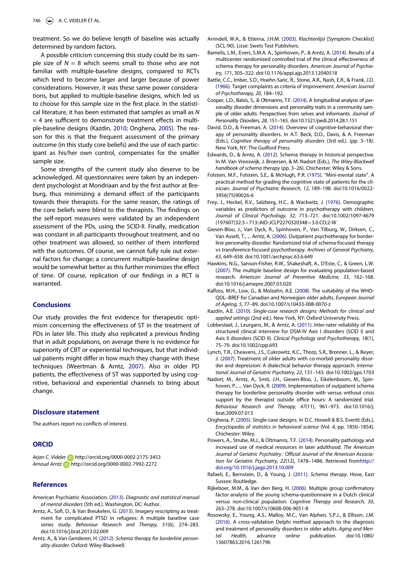<span id="page-9-17"></span>treatment. So we do believe length of baseline was actually determined by random factors.

<span id="page-9-18"></span><span id="page-9-12"></span><span id="page-9-8"></span>A possible criticism concerning this study could be its sample size of  $N = 8$  which seems small to those who are not familiar with multiple-baseline designs, compared to RCTs which tend to become larger and larger because of power considerations. However, it was these same power considerations, but applied to multiple-baseline designs, which led us to choose for this sample size in the first place. In the statistical literature, it has been estimated that samples as small as N  $=$  4 are sufficient to demonstrate treatment effects in multiple-baseline designs (Kazdin, [2010](#page-9-9); Onghena, [2005](#page-9-11)). The reason for this is that the frequent assessment of the primary outcome (in this study core beliefs) and the use of each participant as his/her own control, compensates for the smaller sample size.

<span id="page-9-19"></span><span id="page-9-14"></span><span id="page-9-13"></span><span id="page-9-6"></span><span id="page-9-4"></span>Some strengths of the current study also deserve to be acknowledged. All questionnaires were taken by an independent psychologist at Mondriaan and by the first author at Breburg, thus minimizing a demand effect of the participants towards their therapists. For the same reason, the ratings of the core beliefs were blind to the therapists. The findings on the self-report measures were validated by an independent assessment of the PDs, using the SCID-II. Finally, medication was constant in all participants throughout treatment, and no other treatment was allowed, so neither of them interfered with the outcomes. Of course, we cannot fully rule out external factors for change; a concurrent multiple-baseline design would be somewhat better as this further minimizes the effect of time. Of course, replication of our findings in a RCT is warranted.

# <span id="page-9-20"></span><span id="page-9-10"></span><span id="page-9-9"></span>**Conclusions**

<span id="page-9-16"></span><span id="page-9-2"></span>Our study provides the first evidence for therapeutic optimism concerning the effectiveness of ST in the treatment of PDs in later life. This study also replicated a previous finding that in adult populations, on average there is no evidence for superiority of CBT or experiential techniques, but that individual patients might differ in how much they change with these techniques (Weertman & Arntz, [2007](#page-10-14)). Also in older PD patients, the effectiveness of ST was supported by using cognitive, behavioral and experiential channels to bring about change.

# <span id="page-9-7"></span>Disclosure statement

<span id="page-9-11"></span>The authors report no conflicts of interest.

# <span id="page-9-0"></span>**ORCID**

Arjan C. Videler **in** <http://orcid.org/0000-0002-2175-3453> Arnoud Arntz **b** <http://orcid.org/0000-0002-7992-2272>

## <span id="page-9-21"></span><span id="page-9-5"></span>**References**

- <span id="page-9-15"></span>American Psychiatric Association. [\(2013](#page-4-0)). Diagnostic and statistical manual of mental disorders (5th ed.). Washington, DC: Author.
- <span id="page-9-22"></span><span id="page-9-1"></span>Arntz, A., Sofi, D., & Van Breukelen, G. ([2013](#page-4-1)). Imagery rescripting as treatment for complicated PTSD in refugees: A multiple baseline case series study. Behaviour Research and Therapy, 51(6), 274–283. doi:[10.1016/j.brat.2013.02.009](https://doi.org/10.1016/j.brat.2013.02.009)
- <span id="page-9-3"></span>Arntz, A., & Van Genderen, H. [\(2012\)](#page-1-4). Schema therapy for borderline personality disorder. Oxford: Wiley-Blackwell.
- Arrindell, W.A., & Ettema, J.H.M. ([2003\)](#page-4-2). Klachtenlijst [Symptom Checklist] (SCL-90). Lisse: Swets Test Publishers.
- Bamelis, L.M., Evers, S.M.A. A., Spinhoven, P., & Arntz, A. [\(2014](#page-2-0)). Results of a multicenter randomized controlled trial of the clinical effectiveness of schema therapy for personality disorders. American Journal of Psychiatry, 171, 305–322. doi:[10.1176/appi.ajp.2013.12040518](https://doi.org/10.1176/appi.ajp.2013.12040518)
- Battle, C.C., Imber, S.D., Hoehn-Saric, R., Stone, A.R., Nash, E.R., & Frank, J.D. ([1966](#page-4-3)). Target complaints as criteria of improvement. American Journal of Psychotherapy, 20, 184–192.
- Cooper, L.D., Balsis, S., & Oltmanns, T.F. [\(2014\)](#page-2-1). A longitudinal analysis of personality disorder dimensions and personality traits in a community sample of older adults: Perspectives from selves and informants. Journal of Personality Disorders, 28, 151–165. doi[:10.1521/pedi.2014.28.1.151](https://doi.org/10.1521/pedi.2014.28.1.151)
- David, D.O., & Freeman, A. [\(2014](#page-4-4)). Overview of cognitive-behavioral therapy of personality disorders. In A.T. Beck, D.D., Davis, & A. Freeman (Eds.), Cognitive therapy of personality disorders (3rd ed.). (pp. 3–18). New York, NY: The Guilford Press.
- Edwards, D., & Arntz, A. [\(2012](#page-2-2)). Schema therapy in historical perspective. In M. Van Vreeswijk, J. Broersen, & M. Nadort (Eds.), The Wiley-Blackwell handbook of schema therapy (pp. 3–26). Chichester: Wiley & Sons.
- Folstein, M.F., Folstein, S.E., & McHugh, P.R. ([1975](#page-2-3)). "Mini-mental state". A practical method for grading the cognitive state of patients for the clinician. Journal of Psychiatric Research, 12, 189–198. doi[:10.1016/0022-](https://doi.org/10.1016/0022-3956(75)90026-6) [3956\(75\)90026-6](https://doi.org/10.1016/0022-3956(75)90026-6)
- Frey, J., Heckel, R.V., Salzberg, H.C., & Wackwitz, J. [\(1976](#page-4-5)). Demographic variables as predictors of outcome in psychotherapy with children. Journal of Clinical Psychology, 32, 713–721. doi[:10.1002/1097-4679](https://doi.org/10.1002/1097-4679(197607)32:3<713::AID-JCLP2270320348>3.0.CO;2-W) [\(197607\)32:3](https://doi.org/10.1002/1097-4679(197607)32:3<713::AID-JCLP2270320348>3.0.CO;2-W)<[713::AID-JCLP2270320348](https://doi.org/10.1002/1097-4679(197607)32:3<713::AID-JCLP2270320348>3.0.CO;2-W)>[3.0.CO;2-W](https://doi.org/10.1002/1097-4679(197607)32:3<713::AID-JCLP2270320348>3.0.CO;2-W)
- Giesen-Bloo, J., Van Dyck, R., Spinhoven, P., Van Tilburg, W., Dirksen, C., Van Asselt, T., ... Arntz, A. ([2006\)](#page-2-4). Outpatient psychotherapy for borderline personality disorder: Randomized trial of schema-focused therapy vs transference-focused psychotherapy. Archives of General Psychiatry, 63, 649–658. doi:[10.1001/archpsyc.63.6.649](https://doi.org/10.1001/archpsyc.63.6.649)
- Hawkins, N.G., Sanson-Fisher, R.W., Shakeshaft, A., D'Este, C., & Green, L.W. ([2007](#page-2-5)). The multiple baseline design for evaluating population-based research. American Journal of Preventive Medicine, 33, 162–168. doi:[10.1016/j.amepre.2007.03.020](https://doi.org/10.1016/j.amepre.2007.03.020)
- Kalfoss, M.H., Low, G., & Molzahn, A.E. ([2008](#page-4-6)). The suitability of the WHO-QOL–BREF for Canadian and Norwegian older adults. European Journal of Ageing, 5, 77–89. doi:[10.1007/s10433-008-0070-z](https://doi.org/10.1007/s10433-008-0070-z)
- Kazdin, A.E. ([2010\)](#page-2-6). Single-case research designs: Methods for clinical and applied settings (2nd ed.). New York, NY: Oxford University Press.
- Lobbestael, J., Leurgans, M., & Arntz, A. [\(2011\)](#page-4-7). Inter-rater reliability of the structured clinical interview for DSM-IV Axis I disorders (SCID I) and Axis II disorders (SCID II). Clinical Psychology and Psychotherapy, 18(1), 75–79. doi[:10.1002/cpp.693](https://doi.org/10.1002/cpp.693)
- Lynch, T.R., Cheavens, J.S., Cukrowitz, K.C., Thorp, S.R., Bronner, L., & Beyer, J. ([2007](#page-1-5)). Treatment of older adults with co-morbid personality disorder and depression: A dialectical behavior therapy approach. International Journal of Geriatric Psychiatry, 22, 131–143. doi[:10.1002/gps.1703](https://doi.org/10.1002/gps.1703)
- Nadort, M., Arntz, A., Smit, J.H., Giesen-Bloo, J., Eikelenboom, M., Spinhoven, P., ... Van Dyck, R. ([2009](#page-2-4)). Implementation of outpatient schema therapy for borderline personality disorder with versus without crisis support by the therapist outside office hours: A randomized trial. Behaviour Research and Therapy, 47(11), 961–973. doi[:10.1016/j.](https://doi.org/10.1016/j.brat.2009.07.013) [brat.2009.07.013](https://doi.org/10.1016/j.brat.2009.07.013)
- Onghena, P. ([2005](#page-2-7)). Single-case designs. In D.C. Howell & B.S. Everitt (Eds.), Encyclopedia of statistics in behavioral science (Vol. 4, pp. 1850–1854). Chichester: Wiley.
- Powers, A., Strube, M.J., & Oltmanns, T.F. [\(2014](#page-1-6)). Personality pathology and increased use of medical resources in later adulthood. The American Journal of Geriatric Psychiatry : Official Journal of the American Association for Geriatric Psychiatry, 22(12), 1478–1486. Retrieved from[http://](http://doi.org/10.1016/j.jagp.2013.10.009) [doi.org/10.1016/j.jagp.2013.10.009](http://doi.org/10.1016/j.jagp.2013.10.009)
- Rafaeli, E., Bernstein, D., & Young, J. [\(2011\)](#page-2-8). Schema therapy. Hove, East Sussex: Routledge.
- Rijkeboer, M.M., & Van den Berg, H. [\(2006](#page-4-8)). Multiple group confirmatory factor analysis of the young schema-questionnaire in a Dutch clinical versus non-clinical population. Cognitive Therapy and Research, 30, 263–278. doi:[10.1007/s10608-006-9051-8](https://doi.org/10.1007/s10608-006-9051-8)
- Rosowsky, E., Young, A.S., Malloy, M.C., Van Alphen, S.P.J., & Ellison, J.M. ([2016](#page-1-7)). A cross-validation Delphi method approach to the diagnosis and treatment of personality disorders in older adults. Aging and Mental Health, advance online publication. doi:[10.1080/](https://doi.org/10.1080/13607863.2016.1261796) [13607863.2016.1261796](https://doi.org/10.1080/13607863.2016.1261796)